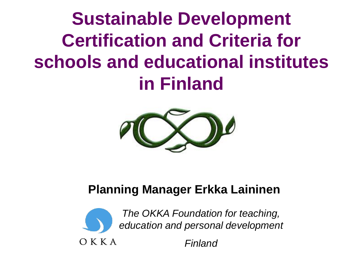## **Sustainable Development Certification and Criteria for schools and educational institutes in Finland**



### **Planning Manager Erkka Laininen**



*The OKKA Foundation for teaching, education and personal development*

*Finland*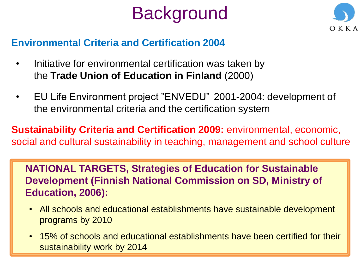# **Background**



### **Environmental Criteria and Certification 2004**

- Initiative for environmental certification was taken by the **Trade Union of Education in Finland** (2000)
- EU Life Environment project "ENVEDU" 2001-2004: development of the environmental criteria and the certification system

**Sustainability Criteria and Certification 2009:** environmental, economic, social and cultural sustainability in teaching, management and school culture

**NATIONAL TARGETS, Strategies of Education for Sustainable Development (Finnish National Commission on SD, Ministry of Education, 2006):** 

- All schools and educational establishments have sustainable development programs by 2010
- 15% of schools and educational establishments have been certified for their sustainability work by 2014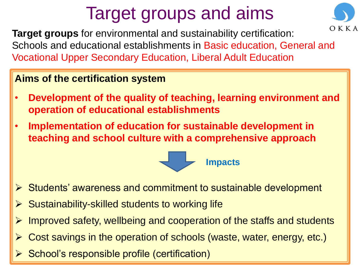# Target groups and aims



**Target groups** for environmental and sustainability certification: Schools and educational establishments in Basic education, General and Vocational Upper Secondary Education, Liberal Adult Education

### **Aims of the certification system**

- **Development of the quality of teaching, learning environment and operation of educational establishments**
- **Implementation of education for sustainable development in teaching and school culture with a comprehensive approach**



**Impacts**

- **► Students' awareness and commitment to sustainable development**
- $\triangleright$  Sustainability-skilled students to working life
- $\triangleright$  Improved safety, wellbeing and cooperation of the staffs and students
- Cost savings in the operation of schools (waste, water, energy, etc.)
- $\triangleright$  School's responsible profile (certification)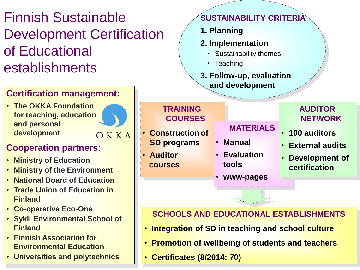## Finnish Sustainable Development Certification of Educational establishments

### **Certification management:**

• **The OKKA Foundation for teaching, education and personal development**

OKKA

### **Cooperation partners:**

- **Ministry of Education**
- **Ministry of the Environment**
- **National Board of Education**
- **Trade Union of Education in Finland**
- **Co-operative Eco-One**
- **Sykli Environmental School of Finland**
- **Finnish Association for Environmental Education**
- **Universities and polytechnics**



#### **SCHOOLS AND EDUCATIONAL ESTABLISHMENTS**

- **Integration of SD in teaching and school culture**
- **Promotion of wellbeing of students and teachers**
- **Certificates (8/2014: 70)**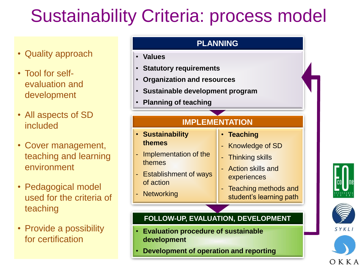# Sustainability Criteria: process model

- Quality approach
- Tool for selfevaluation and development
- All aspects of SD included
- Cover management, teaching and learning environment
- Pedagogical model used for the criteria of teaching
- Provide a possibility for certification

#### **PLANNING**

- **Values**
- **Statutory requirements**
- **Organization and resources**
- **Sustainable development program**
- **Planning of teaching**

#### **IMPLEMENTATION**

- **Sustainability themes**
- Implementation of the themes
- **Establishment of ways** of action
- **Networking**
- **Teaching**
- Knowledge of SD
- Thinking skills
- Action skills and experiences
- Teaching methods and student's learning path

#### **FOLLOW-UP, EVALUATION, DEVELOPMENT**

- **Evaluation procedure of sustainable development**
- **Development of operation and reporting**





O K K A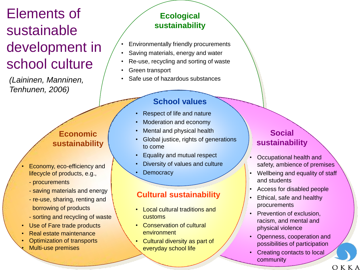## Elements of sustainable development in school culture

*(Laininen, Manninen, Tenhunen, 2006)*

#### **Economic sustainability**

- **Economy, eco-efficiency and** lifecycle of products, e.g.,
	- procurements
	- saving materials and energy
	- re-use, sharing, renting and borrowing of products
	- sorting and recycling of waste
- Use of Fare trade products
- Real estate maintenance
- Optimization of transports • Multi-use premises

#### **Ecological sustainability**

- Environmentally friendly procurements
- Saving materials, energy and water
- Re-use, recycling and sorting of waste
- Green transport
- Safe use of hazardous substances

#### **School values**

- Respect of life and nature
- Moderation and economy
- Mental and physical health
- Global justice, rights of generations to come
- Equality and mutual respect
- Diversity of values and culture
- **Democracy**

#### **Cultural sustainability**

- **Local cultural traditions and** customs
- Conservation of cultural environment
- Cultural diversity as part of everyday school life

#### **Social sustainability**

- Occupational health and safety, ambience of premises
- Wellbeing and equality of staff and students
- Access for disabled people
- Ethical, safe and healthy procurements
- Prevention of exclusion. racism, and mental and physical violence
- Openness, cooperation and possibilities of participation

OKKA

• Creating contacts to local community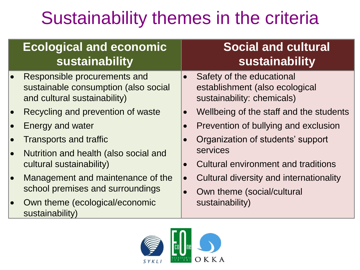# Sustainability themes in the criteria

|           | <b>Ecological and economic</b><br>sustainability                                                     |           | <b>Social and cultural</b><br>sustainability                                              |
|-----------|------------------------------------------------------------------------------------------------------|-----------|-------------------------------------------------------------------------------------------|
|           | Responsible procurements and<br>sustainable consumption (also social<br>and cultural sustainability) | $\bullet$ | Safety of the educational<br>establishment (also ecological<br>sustainability: chemicals) |
| $\bullet$ | Recycling and prevention of waste                                                                    | $\bullet$ | Wellbeing of the staff and the students                                                   |
| $\bullet$ | Energy and water                                                                                     | $\bullet$ | Prevention of bullying and exclusion                                                      |
| $\bullet$ | Transports and traffic                                                                               | $\bullet$ | Organization of students' support                                                         |
|           | Nutrition and health (also social and<br>cultural sustainability)                                    |           | services                                                                                  |
|           |                                                                                                      | $\bullet$ | Cultural environment and traditions                                                       |
|           | Management and maintenance of the                                                                    | $\bullet$ | Cultural diversity and internationality                                                   |
|           | school premises and surroundings                                                                     | $\bullet$ | Own theme (social/cultural                                                                |
|           | Own theme (ecological/economic<br>sustainability)                                                    |           | sustainability)                                                                           |

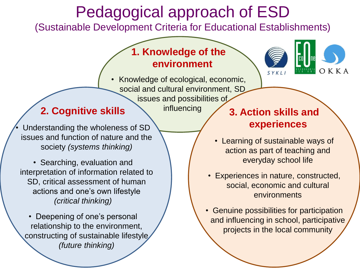## Pedagogical approach of ESD

(Sustainable Development Criteria for Educational Establishments)

### **1. Knowledge of the environment**



• Knowledge of ecological, economic, social and cultural environment, SD issues and possibilities of influencing

### **2. Cognitive skills**

• Understanding the wholeness of SD issues and function of nature and the society *(systems thinking)*

• Searching, evaluation and interpretation of information related to SD, critical assessment of human actions and one's own lifestyle *(critical thinking)*

• Deepening of one's personal relationship to the environment, constructing of sustainable lifestyle *(future thinking)*

### **3. Action skills and experiences**

- Learning of sustainable ways of action as part of teaching and everyday school life
- Experiences in nature, constructed, social, economic and cultural environments
- Genuine possibilities for participation and influencing in school, participative projects in the local community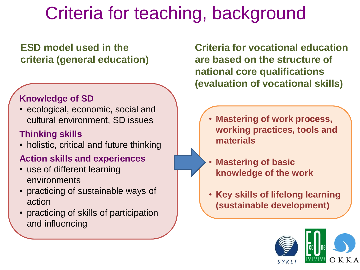## Criteria for teaching, background

### **ESD model used in the criteria (general education)**

#### **Knowledge of SD**

• ecological, economic, social and cultural environment, SD issues

### **Thinking skills**

• holistic, critical and future thinking

### **Action skills and experiences**

- use of different learning environments
- practicing of sustainable ways of action
- practicing of skills of participation and influencing

**Criteria for vocational education are based on the structure of national core qualifications (evaluation of vocational skills)**

- **Mastering of work process, working practices, tools and materials**
- **Mastering of basic knowledge of the work**
- **Key skills of lifelong learning (sustainable development)**

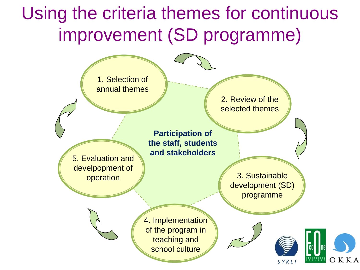## Using the criteria themes for continuous improvement (SD programme)

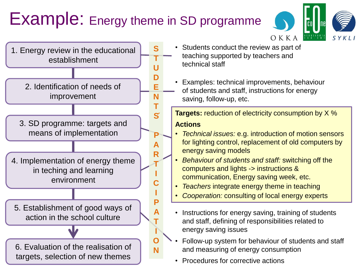## Example: Energy theme in SD programme



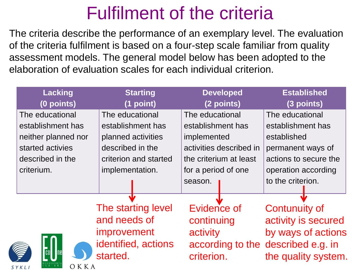## Fulfilment of the criteria

The criteria describe the performance of an exemplary level. The evaluation of the criteria fulfilment is based on a four-step scale familiar from quality assessment models. The general model below has been adopted to the elaboration of evaluation scales for each individual criterion.

| <b>Lacking</b>      | <b>Starting</b>       | <b>Developed</b>        | <b>Established</b>                 |
|---------------------|-----------------------|-------------------------|------------------------------------|
| (0 points)          | (1 point)             |                         | (3 points)                         |
| The educational     | The educational       | The educational         | The educational                    |
| establishment has   | establishment has     | establishment has       | establishment has                  |
| neither planned nor | planned activities    | implemented             | established                        |
| started activies    | described in the      | activities described in | permanent ways of                  |
| described in the    | criterion and started | the criterium at least  | actions to secure the              |
| criterium.          | implementation.       | for a period of one     | operation according                |
|                     |                       | season.                 | to the criterion.                  |
|                     |                       |                         |                                    |
|                     | The starting level    | Evidence of             | <b>Contunuity of</b>               |
|                     | and needs of          | continuing              | activity is secured                |
|                     | <i>improvement</i>    | activity                | by ways of actions                 |
|                     | identified, actions   |                         | according to the described e.g. in |
|                     | started.              | criterion.              | the quality system.                |

OKKA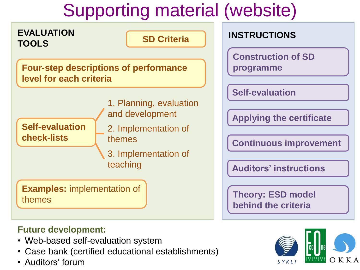## Supporting material (website)



#### **Future development:**

- Web-based self-evaluation system
- Case bank (certified educational establishments)
- Auditors' forum

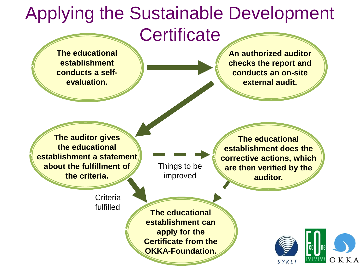